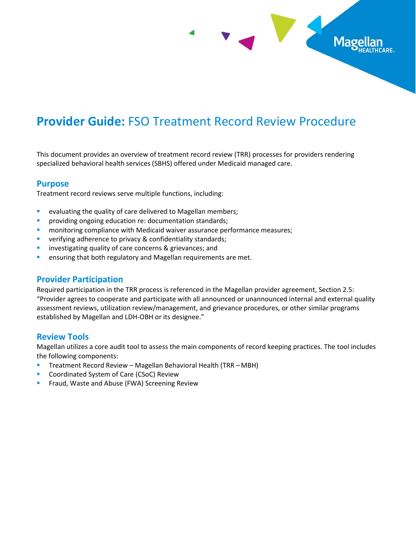

# **Provider Guide:** FSO Treatment Record Review Procedure

This document provides an overview of treatment record review (TRR) processes for providers rendering specialized behavioral health services (SBHS) offered under Medicaid managed care.

## **Purpose**

Treatment record reviews serve multiple functions, including:

- evaluating the quality of care delivered to Magellan members;
- **•** providing ongoing education re: documentation standards;
- monitoring compliance with Medicaid waiver assurance performance measures;
- verifying adherence to privacy & confidentiality standards;
- **·** investigating quality of care concerns & grievances; and
- **E** ensuring that both regulatory and Magellan requirements are met.

## **Provider Participation**

Required participation in the TRR process is referenced in the Magellan provider agreement, Section 2.5: "Provider agrees to cooperate and participate with all announced or unannounced internal and external quality assessment reviews, utilization review/management, and grievance procedures, or other similar programs established by Magellan and LDH-OBH or its designee."

#### **Review Tools**

Magellan utilizes a core audit tool to assess the main components of record keeping practices. The tool includes the following components:

- Treatment Record Review Magellan Behavioral Health (TRR MBH)
- Coordinated System of Care (CSoC) Review
- Fraud, Waste and Abuse (FWA) Screening Review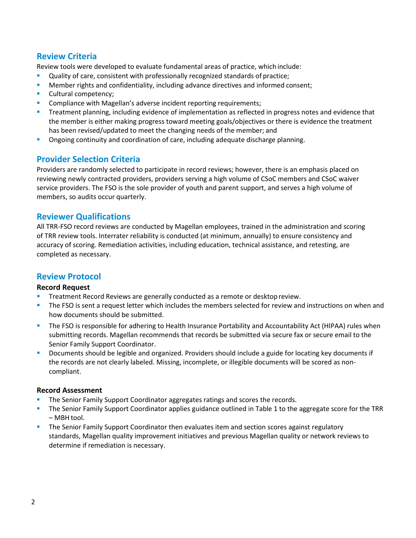## **Review Criteria**

Review tools were developed to evaluate fundamental areas of practice, which include:

- **•** Quality of care, consistent with professionally recognized standards of practice;
- **■** Member rights and confidentiality, including advance directives and informed consent;
- Cultural competency;
- Compliance with Magellan's adverse incident reporting requirements;
- Treatment planning, including evidence of implementation as reflected in progress notes and evidence that the member is either making progress toward meeting goals/objectives or there is evidence the treatment has been revised/updated to meet the changing needs of the member; and
- **•** Ongoing continuity and coordination of care, including adequate discharge planning.

## **Provider Selection Criteria**

Providers are randomly selected to participate in record reviews; however, there is an emphasis placed on reviewing newly contracted providers, providers serving a high volume of CSoC members and CSoC waiver service providers. The FSO is the sole provider of youth and parent support, and serves a high volume of members, so audits occur quarterly.

## **Reviewer Qualifications**

All TRR-FSO record reviews are conducted by Magellan employees, trained in the administration and scoring of TRR review tools. Interrater reliability is conducted (at minimum, annually) to ensure consistency and accuracy of scoring. Remediation activities, including education, technical assistance, and retesting, are completed as necessary.

## **Review Protocol**

#### **Record Request**

- Treatment Record Reviews are generally conducted as a remote or desktop review.
- The FSO is sent a request letter which includes the members selected for review and instructions on when and how documents should be submitted.
- The FSO is responsible for adhering to Health Insurance Portability and Accountability Act (HIPAA) rules when submitting records. Magellan recommends that records be submitted via secure fax or secure email to the Senior Family Support Coordinator.
- Documents should be legible and organized. Providers should include a guide for locating key documents if the records are not clearly labeled. Missing, incomplete, or illegible documents will be scored as noncompliant.

#### **Record Assessment**

- The Senior Family Support Coordinator aggregates ratings and scores the records.
- The Senior Family Support Coordinator applies guidance outlined in Table 1 to the aggregate score for the TRR – MBH tool.
- **•** The Senior Family Support Coordinator then evaluates item and section scores against regulatory standards, Magellan quality improvement initiatives and previous Magellan quality or network reviews to determine if remediation is necessary.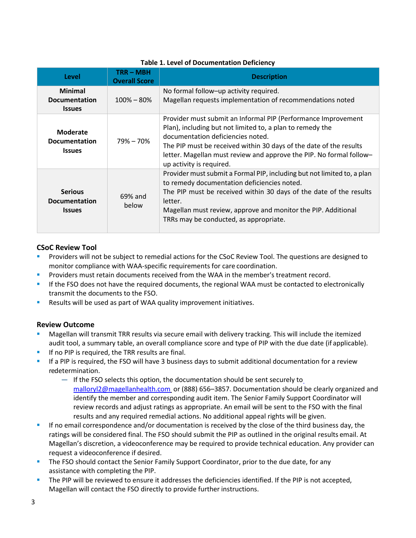| Level                                                    | <b>TRR-MBH</b><br><b>Overall Score</b> | <b>Description</b>                                                                                                                                                                                                                                                                                                                       |
|----------------------------------------------------------|----------------------------------------|------------------------------------------------------------------------------------------------------------------------------------------------------------------------------------------------------------------------------------------------------------------------------------------------------------------------------------------|
| <b>Minimal</b><br><b>Documentation</b><br><b>Issues</b>  | $100\% - 80\%$                         | No formal follow-up activity required.<br>Magellan requests implementation of recommendations noted                                                                                                                                                                                                                                      |
| <b>Moderate</b><br><b>Documentation</b><br><b>Issues</b> | $79\% - 70\%$                          | Provider must submit an Informal PIP (Performance Improvement<br>Plan), including but not limited to, a plan to remedy the<br>documentation deficiencies noted.<br>The PIP must be received within 30 days of the date of the results<br>letter. Magellan must review and approve the PIP. No formal follow-<br>up activity is required. |
| <b>Serious</b><br><b>Documentation</b><br><b>Issues</b>  | 69% and<br>helow                       | Provider must submit a Formal PIP, including but not limited to, a plan<br>to remedy documentation deficiencies noted.<br>The PIP must be received within 30 days of the date of the results<br>letter.<br>Magellan must review, approve and monitor the PIP. Additional<br>TRRs may be conducted, as appropriate.                       |

#### **Table 1. Level of Documentation Deficiency**

#### **CSoC Review Tool**

- Providers will not be subject to remedial actions for the CSoC Review Tool. The questions are designed to monitor compliance with WAA-specific requirements for care coordination.
- Providers must retain documents received from the WAA in the member's treatment record.
- **.** If the FSO does not have the required documents, the regional WAA must be contacted to electronically transmit the documents to the FSO.
- Results will be used as part of WAA quality improvement initiatives.

#### **Review Outcome**

- Magellan will transmit TRR results via secure email with delivery tracking. This will include the itemized audit tool, a summary table, an overall compliance score and type of PIP with the due date (if applicable).
- If no PIP is required, the TRR results are final.
- If a PIP is required, the FSO will have 3 business days to submit additional documentation for a review redetermination.
	- If the FSO selects this option, the documentation should be sent securely to [malloryl2@magellanhealth.com](mailto:malloryl2@magellanhealth.com) or (888) 656–3857. Documentation should be clearly organized and identify the member and corresponding audit item. The Senior Family Support Coordinator will review records and adjust ratings as appropriate. An email will be sent to the FSO with the final results and any required remedial actions. No additional appeal rights will be given.
- If no email correspondence and/or documentation is received by the close of the third business day, the ratings will be considered final. The FSO should submit the PIP as outlined in the original results email. At Magellan's discretion, a videoconference may be required to provide technical education. Any provider can request a videoconference if desired.
- The FSO should contact the Senior Family Support Coordinator, prior to the due date, for any assistance with completing the PIP.
- The PIP will be reviewed to ensure it addresses the deficiencies identified. If the PIP is not accepted, Magellan will contact the FSO directly to provide further instructions.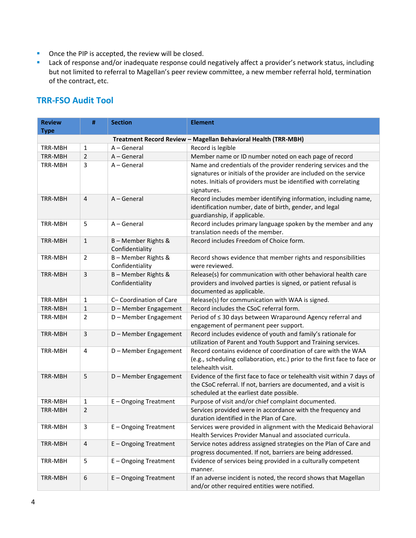- Once the PIP is accepted, the review will be closed.
- **E** Lack of response and/or inadequate response could negatively affect a provider's network status, including but not limited to referral to Magellan's peer review committee, a new member referral hold, termination of the contract, etc.

## **TRR-FSO Audit Tool**

| <b>Review</b><br><b>Type</b>                                   | #                | <b>Section</b>                       | <b>Element</b>                                                                                                                                                                                                           |  |
|----------------------------------------------------------------|------------------|--------------------------------------|--------------------------------------------------------------------------------------------------------------------------------------------------------------------------------------------------------------------------|--|
| Treatment Record Review - Magellan Behavioral Health (TRR-MBH) |                  |                                      |                                                                                                                                                                                                                          |  |
| TRR-MBH                                                        | 1                | A - General                          | Record is legible                                                                                                                                                                                                        |  |
| TRR-MBH                                                        | $\overline{2}$   | $A - General$                        | Member name or ID number noted on each page of record                                                                                                                                                                    |  |
| TRR-MBH                                                        | 3                | A - General                          | Name and credentials of the provider rendering services and the<br>signatures or initials of the provider are included on the service<br>notes. Initials of providers must be identified with correlating<br>signatures. |  |
| TRR-MBH                                                        | $\overline{4}$   | $A - General$                        | Record includes member identifying information, including name,<br>identification number, date of birth, gender, and legal<br>guardianship, if applicable.                                                               |  |
| TRR-MBH                                                        | 5                | $A - General$                        | Record includes primary language spoken by the member and any<br>translation needs of the member.                                                                                                                        |  |
| TRR-MBH                                                        | $\mathbf{1}$     | B-Member Rights &<br>Confidentiality | Record includes Freedom of Choice form.                                                                                                                                                                                  |  |
| TRR-MBH                                                        | $\overline{2}$   | B-Member Rights &<br>Confidentiality | Record shows evidence that member rights and responsibilities<br>were reviewed.                                                                                                                                          |  |
| TRR-MBH                                                        | $\mathbf{3}$     | B-Member Rights &<br>Confidentiality | Release(s) for communication with other behavioral health care<br>providers and involved parties is signed, or patient refusal is<br>documented as applicable.                                                           |  |
| TRR-MBH                                                        | $\mathbf{1}$     | C-Coordination of Care               | Release(s) for communication with WAA is signed.                                                                                                                                                                         |  |
| TRR-MBH                                                        | $\mathbf{1}$     | D - Member Engagement                | Record includes the CSoC referral form.                                                                                                                                                                                  |  |
| TRR-MBH                                                        | $\overline{2}$   | D - Member Engagement                | Period of ≤ 30 days between Wraparound Agency referral and<br>engagement of permanent peer support.                                                                                                                      |  |
| TRR-MBH                                                        | $\mathbf{3}$     | D - Member Engagement                | Record includes evidence of youth and family's rationale for<br>utilization of Parent and Youth Support and Training services.                                                                                           |  |
| TRR-MBH                                                        | 4                | D - Member Engagement                | Record contains evidence of coordination of care with the WAA<br>(e.g., scheduling collaboration, etc.) prior to the first face to face or<br>telehealth visit.                                                          |  |
| TRR-MBH                                                        | 5                | D - Member Engagement                | Evidence of the first face to face or telehealth visit within 7 days of<br>the CSoC referral. If not, barriers are documented, and a visit is<br>scheduled at the earliest date possible.                                |  |
| TRR-MBH                                                        | 1                | E-Ongoing Treatment                  | Purpose of visit and/or chief complaint documented.                                                                                                                                                                      |  |
| TRR-MBH                                                        | $\overline{2}$   |                                      | Services provided were in accordance with the frequency and<br>duration identified in the Plan of Care.                                                                                                                  |  |
| TRR-MBH                                                        | $\mathsf 3$      | E-Ongoing Treatment                  | Services were provided in alignment with the Medicaid Behavioral<br>Health Services Provider Manual and associated curricula.                                                                                            |  |
| TRR-MBH                                                        | $\sqrt{4}$       | E-Ongoing Treatment                  | Service notes address assigned strategies on the Plan of Care and<br>progress documented. If not, barriers are being addressed.                                                                                          |  |
| TRR-MBH                                                        | 5                | E - Ongoing Treatment                | Evidence of services being provided in a culturally competent<br>manner.                                                                                                                                                 |  |
| TRR-MBH                                                        | $\boldsymbol{6}$ | E-Ongoing Treatment                  | If an adverse incident is noted, the record shows that Magellan<br>and/or other required entities were notified.                                                                                                         |  |